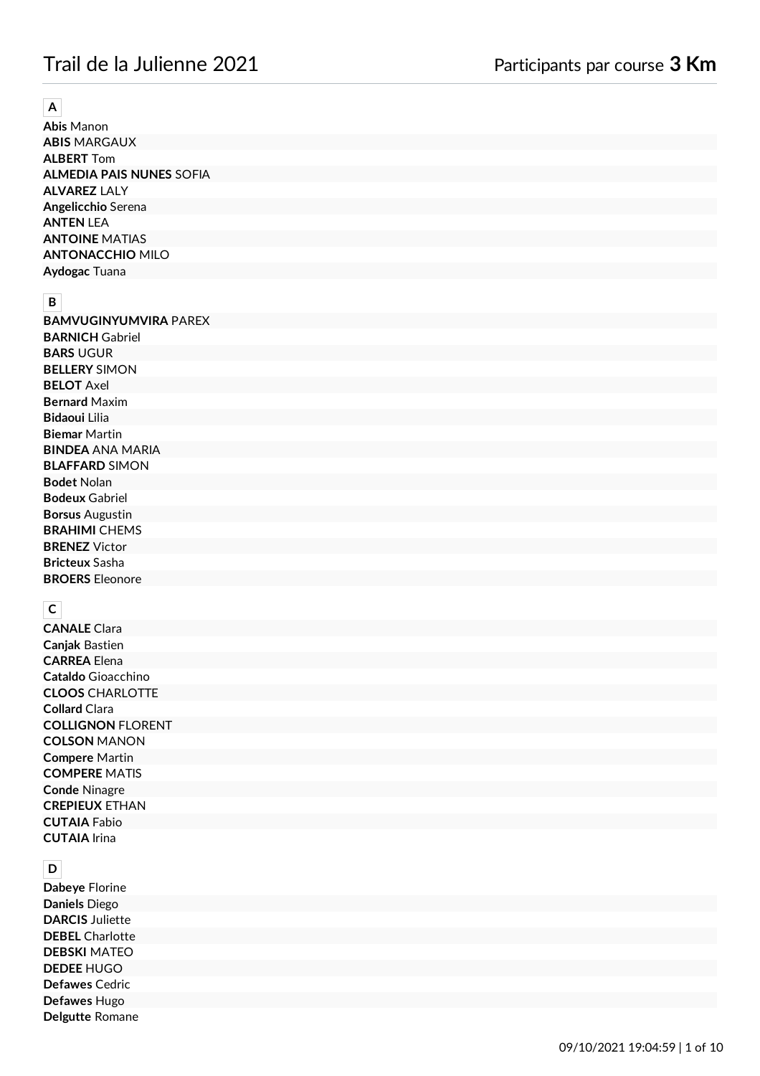# Trail de la Julienne 2021 Participants par course **3 Km**

#### **A**

**Abis** Manon **ABIS** MARGAUX **ALBERT** Tom **ALMEDIA PAIS NUNES** SOFIA **ALVAREZ** LALY **Angelicchio** Serena **ANTEN** LEA **ANTOINE** MATIAS **ANTONACCHIO** MILO **Aydogac** Tuana

#### **B**

**BAMVUGINYUMVIRA** PAREX **BARNICH** Gabriel **BARS** UGUR **BELLERY** SIMON **BELOT** Axel **Bernard** Maxim **Bidaoui** Lilia **Biemar** Martin **BINDEA** ANA MARIA **BLAFFARD** SIMON **Bodet** Nolan **Bodeux** Gabriel **Borsus** Augustin **BRAHIMI** CHEMS **BRENEZ** Victor **Bricteux** Sasha **BROERS** Eleonore

# **C**

**CANALE** Clara **Canjak** Bastien **CARREA** Elena **Cataldo** Gioacchino **CLOOS** CHARLOTTE **Collard** Clara **COLLIGNON** FLORENT **COLSON** MANON **Compere** Martin **COMPERE** MATIS **Conde** Ninagre **CREPIEUX** ETHAN **CUTAIA** Fabio **CUTAIA** Irina

| $\mathsf D$            |  |
|------------------------|--|
| Dabeye Florine         |  |
| Daniels Diego          |  |
| <b>DARCIS Juliette</b> |  |
| <b>DEBEL</b> Charlotte |  |
| <b>DEBSKI MATEO</b>    |  |
| <b>DEDEE HUGO</b>      |  |
| Defawes Cedric         |  |
| Defawes Hugo           |  |
| Delgutte Romane        |  |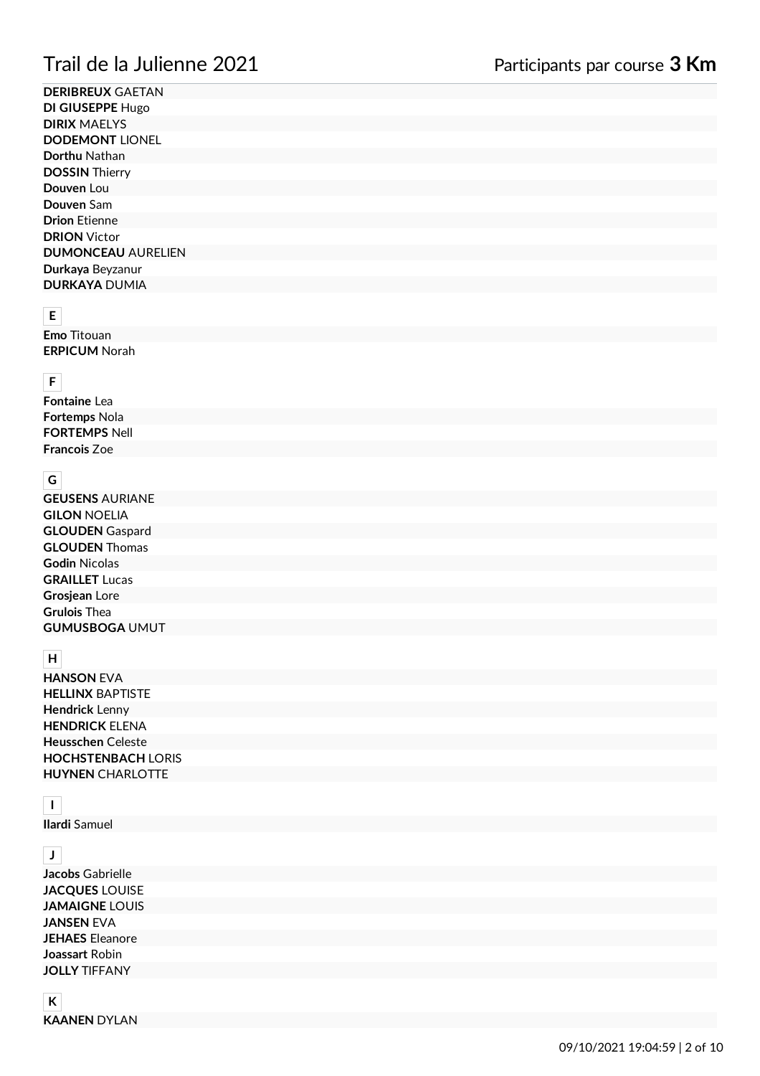**DERIBREUX** GAETAN **DI GIUSEPPE** Hugo **DIRIX** MAELYS **DODEMONT** LIONEL **Dorthu** Nathan **DOSSIN** Thierry **Douven** Lou **Douven** Sam **Drion** Etienne **DRION** Victor **DUMONCEAU** AURELIEN **Durkaya** Beyzanur **DURKAYA** DUMIA

# **E**

**Emo** Titouan **ERPICUM** Norah

# **F**

**Fontaine** Lea **Fortemps** Nola **FORTEMPS** Nell **Francois** Zoe

#### **G**

**GEUSENS** AURIANE **GILON** NOELIA **GLOUDEN** Gaspard **GLOUDEN** Thomas **Godin** Nicolas **GRAILLET** Lucas **Grosjean** Lore **Grulois** Thea **GUMUSBOGA** UMUT

#### **H**

**HANSON** EVA **HELLINX** BAPTISTE **Hendrick** Lenny **HENDRICK** ELENA **Heusschen** Celeste **HOCHSTENBACH** LORIS **HUYNEN** CHARLOTTE

## **I**

**Ilardi** Samuel

## **J**

**Jacobs** Gabrielle **JACQUES** LOUISE **JAMAIGNE** LOUIS **JANSEN** EVA **JEHAES** Eleanore **Joassart** Robin **JOLLY** TIFFANY

#### **K KAANEN** DYLAN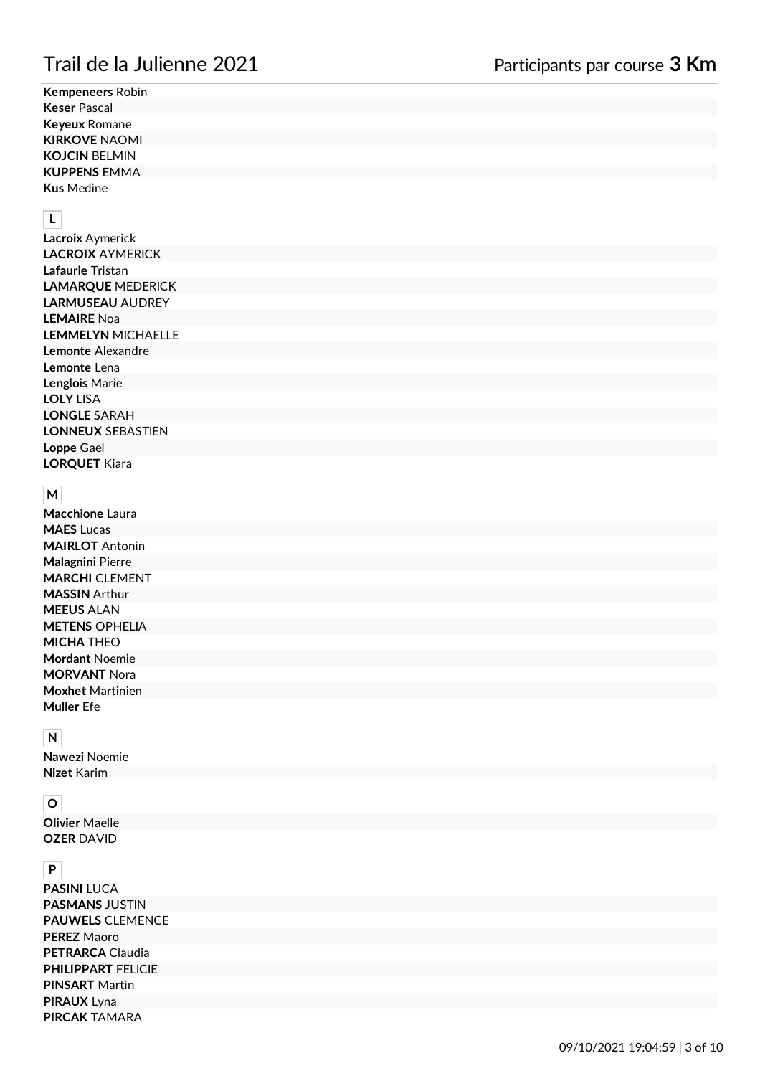**Kempeneers** Robin **Keser** Pascal **Keyeux** Romane **KIRKOVE** NAOMI **KOJCIN** BELMIN **KUPPENS** EMMA **Kus** Medine

## **L**

**Lacroix** Aymerick **LACROIX** AYMERICK **Lafaurie** Tristan **LAMARQUE** MEDERICK **LARMUSEAU** AUDREY **LEMAIRE** Noa **LEMMELYN** MICHAELLE **Lemonte** Alexandre **Lemonte** Lena **Lenglois** Marie **LOLY** LISA **LONGLE** SARAH **LONNEUX** SEBASTIEN **Loppe** Gael **LORQUET** Kiara

#### **M**

**Macchione** Laura **MAES** Lucas **MAIRLOT** Antonin **Malagnini** Pierre **MARCHI** CLEMENT **MASSIN** Arthur **MEEUS** ALAN **METENS** OPHELIA **MICHA** THEO **Mordant** Noemie **MORVANT** Nora **Moxhet** Martinien **Muller** Efe

## **N**

**Nawezi** Noemie **Nizet** Karim

## **O**

**Olivier** Maelle **OZER** DAVID

#### **P**

**PASINI** LUCA **PASMANS** JUSTIN **PAUWELS** CLEMENCE **PEREZ** Maoro **PETRARCA** Claudia **PHILIPPART** FELICIE **PINSART** Martin **PIRAUX** Lyna **PIRCAK** TAMARA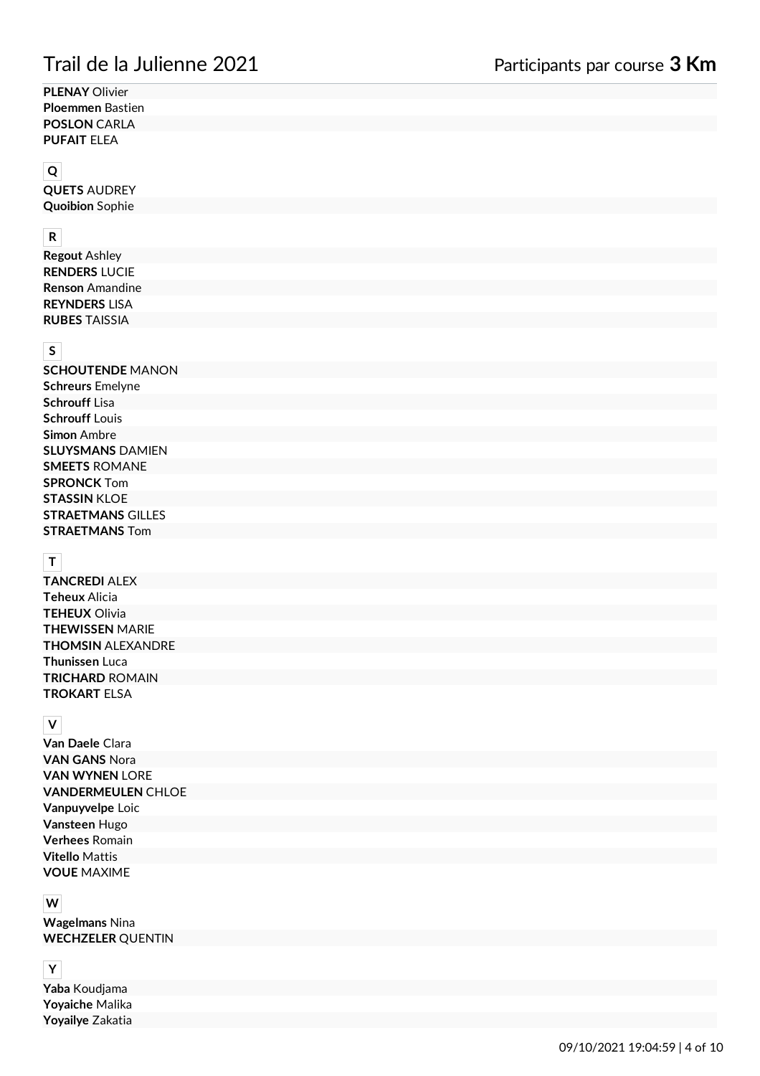**PLENAY** Olivier **Ploemmen** Bastien **POSLON** CARLA **PUFAIT** ELEA

#### **Q**

**QUETS** AUDREY **Quoibion** Sophie

#### **R**

**Regout** Ashley **RENDERS** LUCIE **Renson** Amandine **REYNDERS** LISA **RUBES** TAISSIA

## **S**

**SCHOUTENDE** MANON **Schreurs** Emelyne **Schrouff** Lisa **Schrouff** Louis **Simon** Ambre **SLUYSMANS** DAMIEN **SMEETS** ROMANE **SPRONCK** Tom **STASSIN** KLOE **STRAETMANS** GILLES **STRAETMANS** Tom

# **T**

**TANCREDI** ALEX **Teheux** Alicia **TEHEUX** Olivia **THEWISSEN** MARIE **THOMSIN** ALEXANDRE **Thunissen** Luca **TRICHARD** ROMAIN **TROKART** ELSA

#### **V**

**Van Daele** Clara **VAN GANS** Nora **VAN WYNEN** LORE **VANDERMEULEN** CHLOE **Vanpuyvelpe** Loic **Vansteen** Hugo **Verhees** Romain **Vitello** Mattis **VOUE** MAXIME

#### **W**

**Wagelmans** Nina **WECHZELER** QUENTIN

#### **Y**

**Yaba** Koudjama **Yoyaiche** Malika **Yoyailye** Zakatia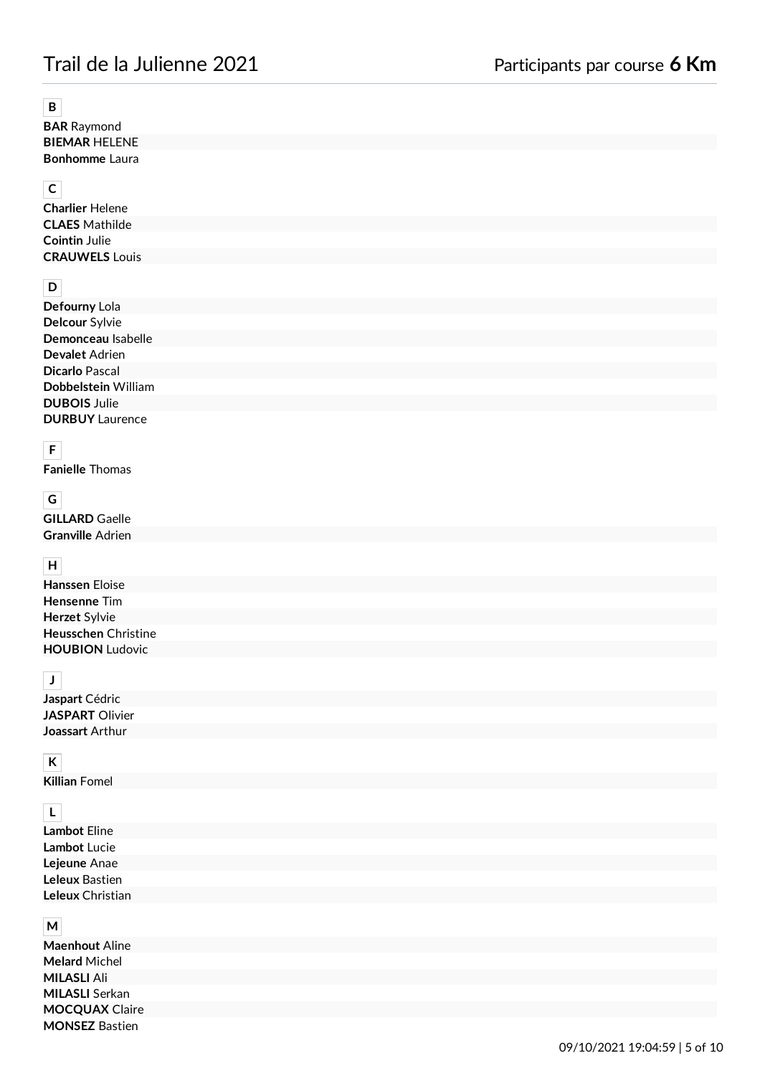# Trail de la Julienne 2021 Participants par course **6 Km**

#### **B**

**BAR** Raymond **BIEMAR** HELENE **Bonhomme** Laura

## **C**

**Charlier** Helene **CLAES** Mathilde **Cointin** Julie **CRAUWELS** Louis

# **D**

**Defourny** Lola **Delcour** Sylvie **Demonceau** Isabelle **Devalet** Adrien **Dicarlo** Pascal **Dobbelstein** William **DUBOIS** Julie **DURBUY** Laurence

# **F**

**Fanielle** Thomas

## **G**

**GILLARD** Gaelle **Granville** Adrien

## **H**

**Hanssen** Eloise **Hensenne** Tim **Herzet** Sylvie **Heusschen** Christine **HOUBION** Ludovic

## **J**

**Jaspart** Cédric **JASPART** Olivier **Joassart** Arthur

# **K**

**Killian** Fomel

## **L**

**Lambot** Eline **Lambot** Lucie **Lejeune** Anae **Leleux** Bastien **Leleux** Christian

#### **M**

**Maenhout** Aline **Melard** Michel **MILASLI** Ali **MILASLI** Serkan **MOCQUAX** Claire **MONSEZ** Bastien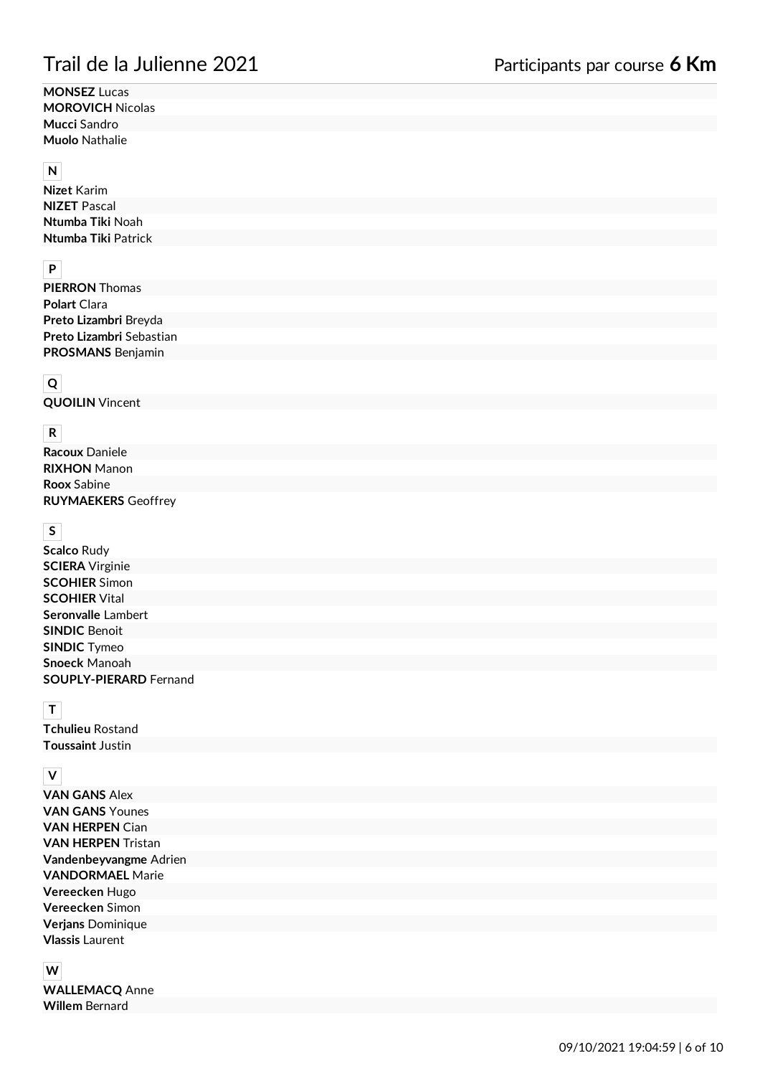**MONSEZ** Lucas **MOROVICH** Nicolas **Mucci** Sandro **Muolo** Nathalie

#### **N**

| <b>Nizet Karim</b>  |
|---------------------|
| <b>NIZET</b> Pascal |
| Ntumba Tiki Noah    |
| Ntumba Tiki Patrick |

# **P**

| <b>PIERRON</b> Thomas    |
|--------------------------|
| <b>Polart Clara</b>      |
| Preto Lizambri Breyda    |
| Preto Lizambri Sebastian |
| <b>PROSMANS Benjamin</b> |

# **Q**

**QUOILIN** Vincent

## **R**

**Racoux** Daniele **RIXHON** Manon **Roox** Sabine **RUYMAEKERS** Geoffrey

#### **S**

**Scalco** Rudy **SCIERA** Virginie **SCOHIER** Simon **SCOHIER** Vital **Seronvalle** Lambert **SINDIC** Benoit **SINDIC** Tymeo **Snoeck** Manoah **SOUPLY-PIERARD** Fernand

## **T**

**Tchulieu** Rostand **Toussaint** Justin

## **V**

**VAN GANS** Alex **VAN GANS** Younes **VAN HERPEN** Cian **VAN HERPEN** Tristan **Vandenbeyvangme** Adrien **VANDORMAEL** Marie **Vereecken** Hugo **Vereecken** Simon **Verjans** Dominique **Vlassis** Laurent

# **W**

**WALLEMACQ** Anne **Willem** Bernard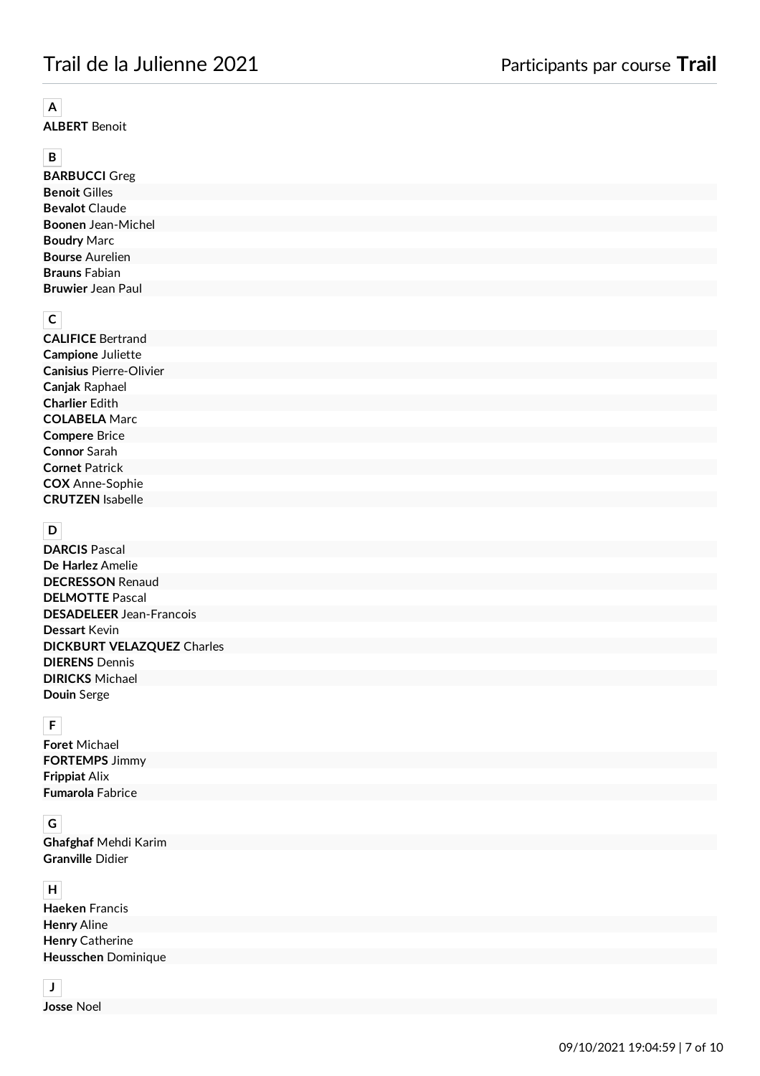# **A**

**ALBERT** Benoit

# **B**

**BARBUCCI** Greg **Benoit** Gilles **Bevalot** Claude **Boonen** Jean-Michel **Boudry** Marc **Bourse** Aurelien **Brauns** Fabian **Bruwier** Jean Paul

# **C**

**CALIFICE** Bertrand **Campione** Juliette **Canisius** Pierre-Olivier **Canjak** Raphael **Charlier** Edith **COLABELA** Marc **Compere** Brice **Connor** Sarah **Cornet** Patrick **COX** Anne-Sophie **CRUTZEN** Isabelle

## **D**

**DARCIS** Pascal **De Harlez** Amelie **DECRESSON** Renaud **DELMOTTE** Pascal **DESADELEER** Jean-Francois **Dessart** Kevin **DICKBURT VELAZQUEZ** Charles **DIERENS** Dennis **DIRICKS** Michael **Douin** Serge

## **F**

**Foret** Michael **FORTEMPS** Jimmy **Frippiat** Alix **Fumarola** Fabrice

# **G**

**Ghafghaf** Mehdi Karim **Granville** Didier

### **H**

| <b>Haeken Francis</b>      |  |
|----------------------------|--|
| <b>Henry Aline</b>         |  |
| <b>Henry Catherine</b>     |  |
| <b>Heusschen Dominique</b> |  |
|                            |  |

# **J**

**Josse** Noel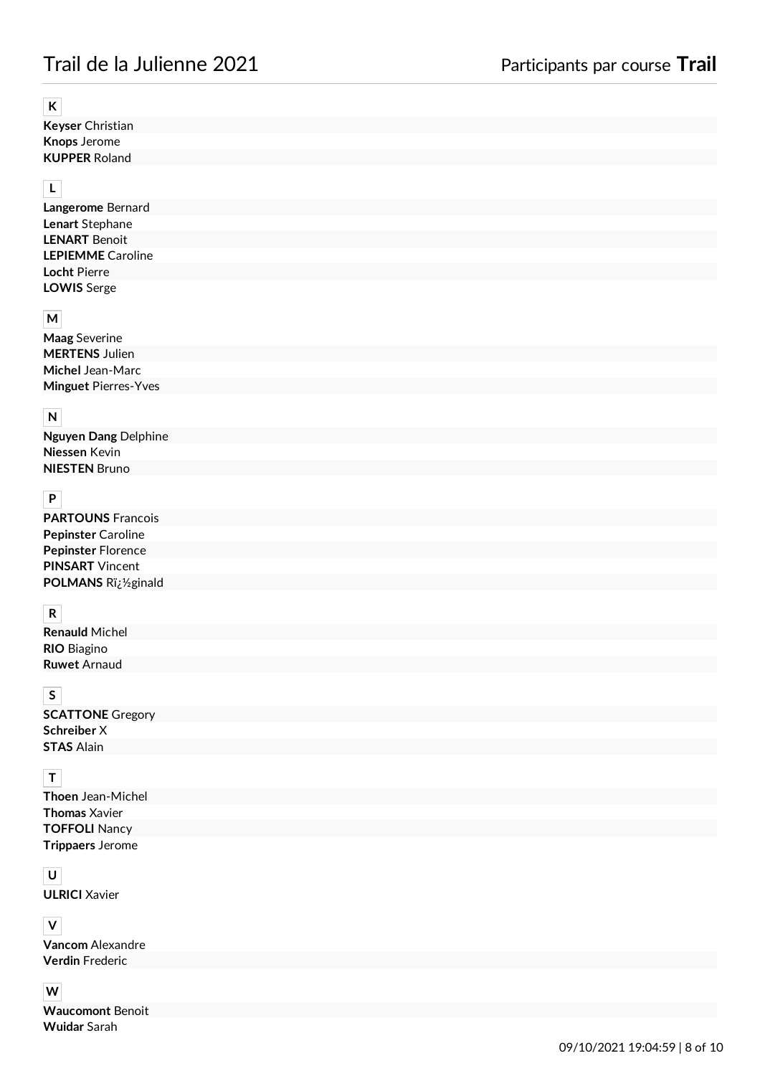#### **K**

**Keyser** Christian **Knops** Jerome **KUPPER** Roland

## **L**

**Langerome** Bernard **Lenart** Stephane **LENART** Benoit **LEPIEMME** Caroline **Locht** Pierre **LOWIS** Serge

## **M**

| <b>Maag</b> Severine        |  |
|-----------------------------|--|
| <b>MERTENS</b> Julien       |  |
| Michel Jean-Marc            |  |
| <b>Minguet Pierres-Yves</b> |  |

## **N**

**Nguyen Dang** Delphine **Niessen** Kevin **NIESTEN** Bruno

## **P**

| <b>PARTOUNS Francois</b>  |
|---------------------------|
| <b>Pepinster Caroline</b> |
| <b>Pepinster Florence</b> |
| <b>PINSART</b> Vincent    |
| POLMANS Riz1/2ginald      |

#### **R**

**Renauld** Michel **RIO** Biagino **Ruwet** Arnaud

# **S**

**SCATTONE** Gregory **Schreiber** X **STAS** Alain

# **T**

**Thoen** Jean-Michel **Thomas** Xavier **TOFFOLI** Nancy **Trippaers** Jerome

## **U**

**ULRICI** Xavier

## **V**

**Vancom** Alexandre **Verdin** Frederic

#### **W**

**Waucomont** Benoit **Wuidar** Sarah